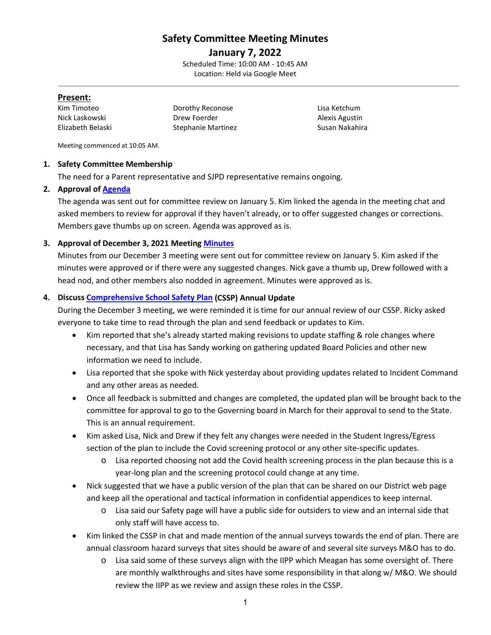# **Safety Committee Meeting Minutes**

**January 7, 2022** Scheduled Time: 10:00 AM - 10:45 AM Location: Held via Google Meet

#### **Present:**

Kim Timoteo Dorothy Reconose Lisa Ketchum Nick Laskowski **Drew Foerder** Alexis Agustin Drew Foerder Elizabeth Belaski Stephanie Martinez Susan Nakahira

Meeting commenced at 10:05 AM.

#### **1. Safety Committee Membership**

The need for a Parent representative and SJPD representative remains ongoing.

# **2. Approval of [Agenda](https://drive.google.com/file/d/1t_jJVgvw58Qa3zP8j8qFBsdZc4CZi3u_/view?usp=sharing)**

The agenda was sent out for committee review on January 5. Kim linked the agenda in the meeting chat and asked members to review for approval if they haven't already, or to offer suggested changes or corrections. Members gave thumbs up on screen. Agenda was approved as is.

# **3. Approval of December 3, 2021 Meeting [Minutes](https://drive.google.com/file/d/16zk4olrsSh184w6sC1koNNhVDskp0LXS/view?usp=sharing)**

Minutes from our December 3 meeting were sent out for committee review on January 5. Kim asked if the minutes were approved or if there were any suggested changes. Nick gave a thumb up, Drew followed with a head nod, and other members also nodded in agreement. Minutes were approved as is.

#### **4. Discuss [Comprehensive School Safety Plan](https://drive.google.com/file/d/1LVuMaZ7qASaUSzXpRWL5Z_SxooIWOQjQ/view?usp=sharing) (CSSP) Annual Update**

During the December 3 meeting, we were reminded it is time for our annual review of our CSSP. Ricky asked everyone to take time to read through the plan and send feedback or updates to Kim.

- Kim reported that she's already started making revisions to update staffing & role changes where necessary, and that Lisa has Sandy working on gathering updated Board Policies and other new information we need to include.
- Lisa reported that she spoke with Nick yesterday about providing updates related to Incident Command and any other areas as needed.
- Once all feedback is submitted and changes are completed, the updated plan will be brought back to the committee for approval to go to the Governing board in March for their approval to send to the State. This is an annual requirement.
- Kim asked Lisa, Nick and Drew if they felt any changes were needed in the Student Ingress/Egress section of the plan to include the Covid screening protocol or any other site-specific updates.
	- o Lisa reported choosing not add the Covid health screening process in the plan because this is a year-long plan and the screening protocol could change at any time.
- Nick suggested that we have a public version of the plan that can be shared on our District web page and keep all the operational and tactical information in confidential appendices to keep internal.
	- o Lisa said our Safety page will have a public side for outsiders to view and an internal side that only staff will have access to.
- Kim linked the CSSP in chat and made mention of the annual surveys towards the end of plan. There are annual classroom hazard surveys that sites should be aware of and several site surveys M&O has to do.
	- o Lisa said some of these surveys align with the IIPP which Meagan has some oversight of. There are monthly walkthroughs and sites have some responsibility in that along w/ M&O. We should review the IIPP as we review and assign these roles in the CSSP.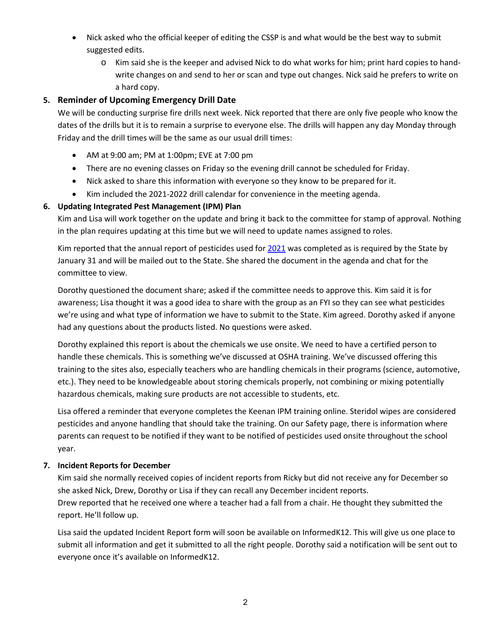- Nick asked who the official keeper of editing the CSSP is and what would be the best way to submit suggested edits.
	- o Kim said she is the keeper and advised Nick to do what works for him; print hard copies to handwrite changes on and send to her or scan and type out changes. Nick said he prefers to write on a hard copy.

# **5. Reminder of Upcoming Emergency Drill Date**

We will be conducting surprise fire drills next week. Nick reported that there are only five people who know the dates of the drills but it is to remain a surprise to everyone else. The drills will happen any day Monday through Friday and the drill times will be the same as our usual drill times:

- AM at 9:00 am; PM at 1:00pm; EVE at 7:00 pm
- There are no evening classes on Friday so the evening drill cannot be scheduled for Friday.
- Nick asked to share this information with everyone so they know to be prepared for it.
- Kim included the 2021-2022 drill calendar for convenience in the meeting agenda.

#### **6. Updating Integrated Pest Management (IPM) Plan**

Kim and Lisa will work together on the update and bring it back to the committee for stamp of approval. Nothing in the plan requires updating at this time but we will need to update names assigned to roles.

Kim reported that the annual report of pesticides used fo[r 2021](https://drive.google.com/file/d/1g6IsmVAid86YWKdKWNVVLjgHOkIVPOJM/view?usp=sharing) was completed as is required by the State by January 31 and will be mailed out to the State. She shared the document in the agenda and chat for the committee to view.

Dorothy questioned the document share; asked if the committee needs to approve this. Kim said it is for awareness; Lisa thought it was a good idea to share with the group as an FYI so they can see what pesticides we're using and what type of information we have to submit to the State. Kim agreed. Dorothy asked if anyone had any questions about the products listed. No questions were asked.

Dorothy explained this report is about the chemicals we use onsite. We need to have a certified person to handle these chemicals. This is something we've discussed at OSHA training. We've discussed offering this training to the sites also, especially teachers who are handling chemicals in their programs (science, automotive, etc.). They need to be knowledgeable about storing chemicals properly, not combining or mixing potentially hazardous chemicals, making sure products are not accessible to students, etc.

Lisa offered a reminder that everyone completes the Keenan IPM training online. Steridol wipes are considered pesticides and anyone handling that should take the training. On our Safety page, there is information where parents can request to be notified if they want to be notified of pesticides used onsite throughout the school year.

#### **7. Incident Reports for December**

Kim said she normally received copies of incident reports from Ricky but did not receive any for December so she asked Nick, Drew, Dorothy or Lisa if they can recall any December incident reports. Drew reported that he received one where a teacher had a fall from a chair. He thought they submitted the report. He'll follow up.

Lisa said the updated Incident Report form will soon be available on InformedK12. This will give us one place to submit all information and get it submitted to all the right people. Dorothy said a notification will be sent out to everyone once it's available on InformedK12.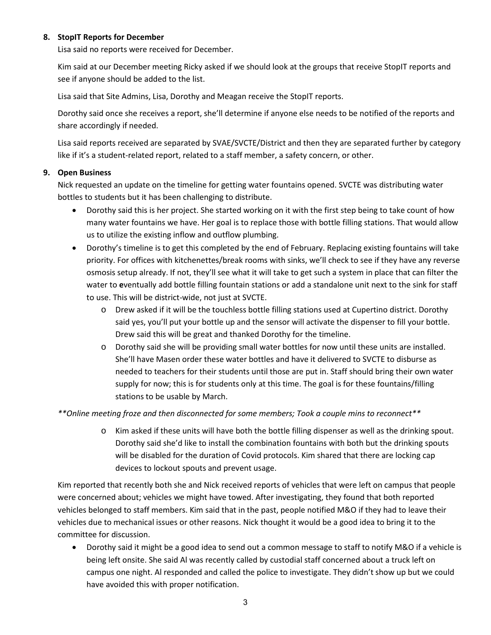#### **8. StopIT Reports for December**

Lisa said no reports were received for December.

Kim said at our December meeting Ricky asked if we should look at the groups that receive StopIT reports and see if anyone should be added to the list.

Lisa said that Site Admins, Lisa, Dorothy and Meagan receive the StopIT reports.

Dorothy said once she receives a report, she'll determine if anyone else needs to be notified of the reports and share accordingly if needed.

Lisa said reports received are separated by SVAE/SVCTE/District and then they are separated further by category like if it's a student-related report, related to a staff member, a safety concern, or other.

#### **9. Open Business**

Nick requested an update on the timeline for getting water fountains opened. SVCTE was distributing water bottles to students but it has been challenging to distribute.

- Dorothy said this is her project. She started working on it with the first step being to take count of how many water fountains we have. Her goal is to replace those with bottle filling stations. That would allow us to utilize the existing inflow and outflow plumbing.
- Dorothy's timeline is to get this completed by the end of February. Replacing existing fountains will take priority. For offices with kitchenettes/break rooms with sinks, we'll check to see if they have any reverse osmosis setup already. If not, they'll see what it will take to get such a system in place that can filter the water to **e**ventually add bottle filling fountain stations or add a standalone unit next to the sink for staff to use. This will be district-wide, not just at SVCTE.
	- o Drew asked if it will be the touchless bottle filling stations used at Cupertino district. Dorothy said yes, you'll put your bottle up and the sensor will activate the dispenser to fill your bottle. Drew said this will be great and thanked Dorothy for the timeline.
	- o Dorothy said she will be providing small water bottles for now until these units are installed. She'll have Masen order these water bottles and have it delivered to SVCTE to disburse as needed to teachers for their students until those are put in. Staff should bring their own water supply for now; this is for students only at this time. The goal is for these fountains/filling stations to be usable by March.

*\*\*Online meeting froze and then disconnected for some members; Took a couple mins to reconnect\*\**

o Kim asked if these units will have both the bottle filling dispenser as well as the drinking spout. Dorothy said she'd like to install the combination fountains with both but the drinking spouts will be disabled for the duration of Covid protocols. Kim shared that there are locking cap devices to lockout spouts and prevent usage.

Kim reported that recently both she and Nick received reports of vehicles that were left on campus that people were concerned about; vehicles we might have towed. After investigating, they found that both reported vehicles belonged to staff members. Kim said that in the past, people notified M&O if they had to leave their vehicles due to mechanical issues or other reasons. Nick thought it would be a good idea to bring it to the committee for discussion.

• Dorothy said it might be a good idea to send out a common message to staff to notify M&O if a vehicle is being left onsite. She said Al was recently called by custodial staff concerned about a truck left on campus one night. Al responded and called the police to investigate. They didn't show up but we could have avoided this with proper notification.